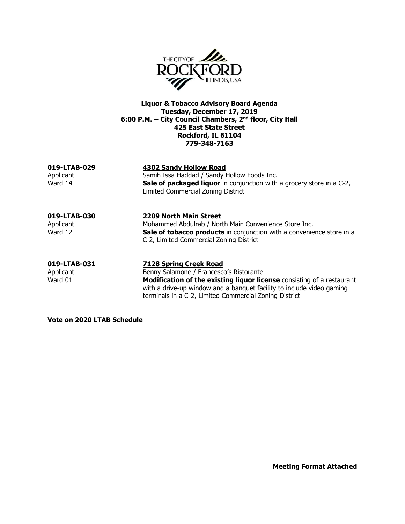

**Liquor & Tobacco Advisory Board Agenda Tuesday, December 17, 2019 6:00 P.M. – City Council Chambers, 2nd floor, City Hall 425 East State Street Rockford, IL 61104 779-348-7163**

**019-LTAB-029 4302 Sandy Hollow Road** Applicant Samih Issa Haddad / Sandy Hollow Foods Inc.<br>Ward 14 **Sale of packaged liquor** in conjunction with Sale of packaged liquor in conjunction with a grocery store in a C-2, Limited Commercial Zoning District **019-LTAB-030 2209 North Main Street** Applicant Mohammed Abdulrab / North Main Convenience Store Inc. Ward 12 **Sale of tobacco products** in conjunction with a convenience store in a C-2, Limited Commercial Zoning District

**019-LTAB-031 7128 Spring Creek Road**  Applicant Benny Salamone / Francesco's Ristorante Ward 01 **Modification of the existing liquor license** consisting of a restaurant with a drive-up window and a banquet facility to include video gaming terminals in a C-2, Limited Commercial Zoning District

**Vote on 2020 LTAB Schedule**

**Meeting Format Attached**